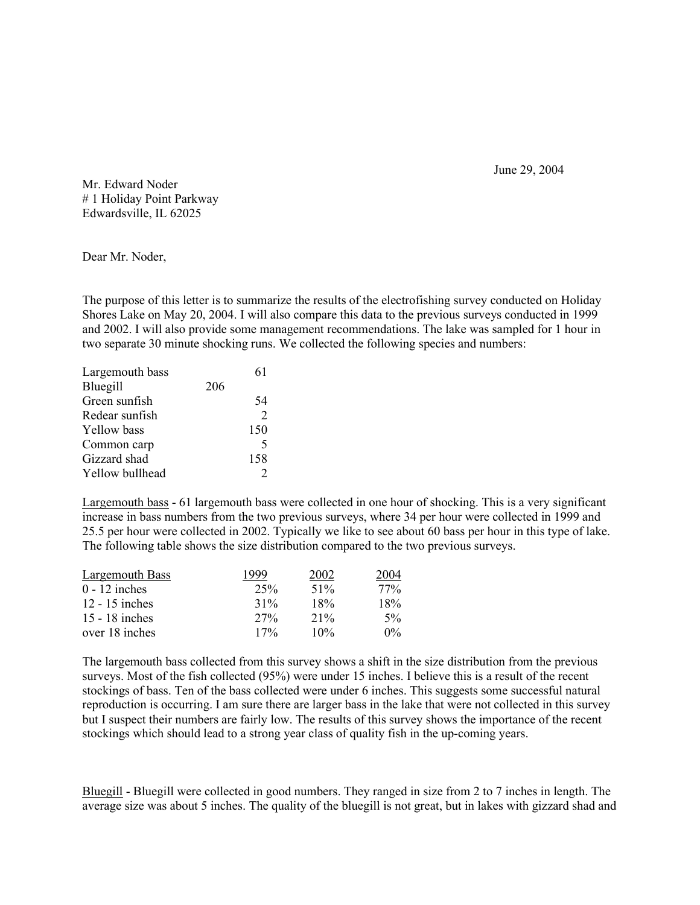June 29, 2004

Mr. Edward Noder # 1 Holiday Point Parkway Edwardsville, IL 62025

Dear Mr. Noder,

The purpose of this letter is to summarize the results of the electrofishing survey conducted on Holiday Shores Lake on May 20, 2004. I will also compare this data to the previous surveys conducted in 1999 and 2002. I will also provide some management recommendations. The lake was sampled for 1 hour in two separate 30 minute shocking runs. We collected the following species and numbers:

| Largemouth bass    |     | 61                          |
|--------------------|-----|-----------------------------|
| Bluegill           | 206 |                             |
| Green sunfish      |     | 54                          |
| Redear sunfish     |     | $\mathcal{D}_{\mathcal{A}}$ |
| <b>Yellow</b> bass |     | 150                         |
| Common carp        |     | 5                           |
| Gizzard shad       |     | 158                         |
| Yellow bullhead    |     |                             |

Largemouth bass - 61 largemouth bass were collected in one hour of shocking. This is a very significant increase in bass numbers from the two previous surveys, where 34 per hour were collected in 1999 and 25.5 per hour were collected in 2002. Typically we like to see about 60 bass per hour in this type of lake. The following table shows the size distribution compared to the two previous surveys.

| Largemouth Bass  | 1999   | 2002   | 2004  |
|------------------|--------|--------|-------|
| $0 - 12$ inches  | 25%    | 51%    | 77%   |
| $12 - 15$ inches | $31\%$ | 18%    | 18%   |
| 15 - 18 inches   | 27%    | $21\%$ | 5%    |
| over 18 inches   | 17%    | 10%    | $0\%$ |

The largemouth bass collected from this survey shows a shift in the size distribution from the previous surveys. Most of the fish collected (95%) were under 15 inches. I believe this is a result of the recent stockings of bass. Ten of the bass collected were under 6 inches. This suggests some successful natural reproduction is occurring. I am sure there are larger bass in the lake that were not collected in this survey but I suspect their numbers are fairly low. The results of this survey shows the importance of the recent stockings which should lead to a strong year class of quality fish in the up-coming years.

Bluegill - Bluegill were collected in good numbers. They ranged in size from 2 to 7 inches in length. The average size was about 5 inches. The quality of the bluegill is not great, but in lakes with gizzard shad and